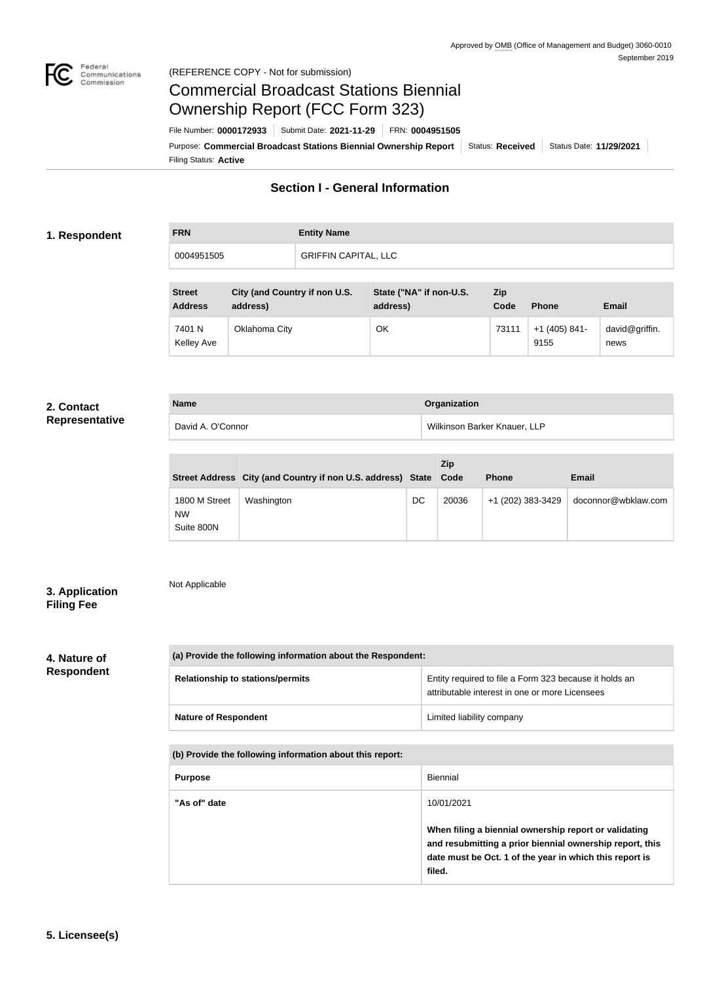

### Federal<br>Communications<br>Commission (REFERENCE COPY - Not for submission)

# Commercial Broadcast Stations Biennial Ownership Report (FCC Form 323)

Filing Status: **Active** Purpose: Commercial Broadcast Stations Biennial Ownership Report Status: Received Status Date: 11/29/2021 File Number: **0000172933** Submit Date: **2021-11-29** FRN: **0004951505**

# **Section I - General Information**

## **1. Respondent**

| <b>FRN</b> | <b>Entity Name</b>          |
|------------|-----------------------------|
| 0004951505 | <b>GRIFFIN CAPITAL, LLC</b> |

| <b>Street</b><br><b>Address</b> | City (and Country if non U.S.<br>address) | State ("NA" if non-U.S.<br>address) | Zip<br>Code | <b>Phone</b>            | <b>Email</b>           |
|---------------------------------|-------------------------------------------|-------------------------------------|-------------|-------------------------|------------------------|
| 7401 N<br>Kelley Ave            | Oklahoma City                             | ОК                                  | 73111       | $+1$ (405) 841-<br>9155 | david@griffin.<br>news |

#### **2. Contact Representative**

| <b>Name</b>       | Organization                 |
|-------------------|------------------------------|
| David A. O'Connor | Wilkinson Barker Knauer, LLP |

|                                   | Street Address City (and Country if non U.S. address) State Code |    | <b>Zip</b> | <b>Phone</b>      | <b>Email</b>        |
|-----------------------------------|------------------------------------------------------------------|----|------------|-------------------|---------------------|
| 1800 M Street<br>NW<br>Suite 800N | Washington                                                       | DC | 20036      | +1 (202) 383-3429 | doconnor@wbklaw.com |

# **3. Application Filing Fee**

Not Applicable

### **4. Nature of Respondent**

| (a) Provide the following information about the Respondent: |                                                                                                          |  |  |  |
|-------------------------------------------------------------|----------------------------------------------------------------------------------------------------------|--|--|--|
| <b>Relationship to stations/permits</b>                     | Entity required to file a Form 323 because it holds an<br>attributable interest in one or more Licensees |  |  |  |
| <b>Nature of Respondent</b>                                 | Limited liability company                                                                                |  |  |  |

#### **(b) Provide the following information about this report:**

| <b>Purpose</b> | Biennial                                                                                                                                                                                             |
|----------------|------------------------------------------------------------------------------------------------------------------------------------------------------------------------------------------------------|
| "As of" date   | 10/01/2021<br>When filing a biennial ownership report or validating<br>and resubmitting a prior biennial ownership report, this<br>date must be Oct. 1 of the year in which this report is<br>filed. |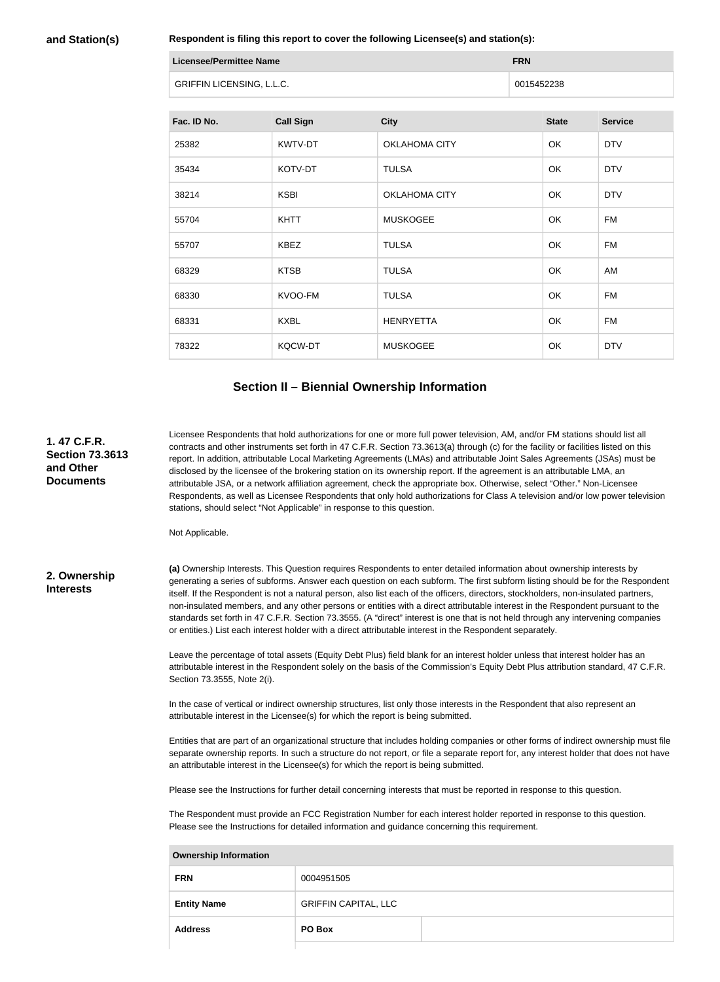#### **and Station(s)**

**Respondent is filing this report to cover the following Licensee(s) and station(s):**

| Licensee/Permittee Name          | <b>FRN</b> |
|----------------------------------|------------|
| <b>GRIFFIN LICENSING, L.L.C.</b> | 0015452238 |

| Fac. ID No. | <b>Call Sign</b> | <b>City</b>          | <b>State</b> | <b>Service</b> |
|-------------|------------------|----------------------|--------------|----------------|
| 25382       | KWTV-DT          | <b>OKLAHOMA CITY</b> | OK           | <b>DTV</b>     |
| 35434       | KOTV-DT          | <b>TULSA</b>         | OK           | <b>DTV</b>     |
| 38214       | <b>KSBI</b>      | <b>OKLAHOMA CITY</b> | OK           | <b>DTV</b>     |
| 55704       | <b>KHTT</b>      | <b>MUSKOGEE</b>      | OK           | <b>FM</b>      |
| 55707       | <b>KBEZ</b>      | <b>TULSA</b>         | OK           | <b>FM</b>      |
| 68329       | <b>KTSB</b>      | <b>TULSA</b>         | OK           | AM             |
| 68330       | KVOO-FM          | <b>TULSA</b>         | OK           | <b>FM</b>      |
| 68331       | <b>KXBL</b>      | <b>HENRYETTA</b>     | OK           | <b>FM</b>      |
| 78322       | <b>KQCW-DT</b>   | <b>MUSKOGEE</b>      | OK           | <b>DTV</b>     |

#### **Section II – Biennial Ownership Information**

Licensee Respondents that hold authorizations for one or more full power television, AM, and/or FM stations should list all contracts and other instruments set forth in 47 C.F.R. Section 73.3613(a) through (c) for the facility or facilities listed on this report. In addition, attributable Local Marketing Agreements (LMAs) and attributable Joint Sales Agreements (JSAs) must be disclosed by the licensee of the brokering station on its ownership report. If the agreement is an attributable LMA, an attributable JSA, or a network affiliation agreement, check the appropriate box. Otherwise, select "Other." Non-Licensee Respondents, as well as Licensee Respondents that only hold authorizations for Class A television and/or low power television stations, should select "Not Applicable" in response to this question.

Not Applicable.

#### **2. Ownership Interests**

**1. 47 C.F.R. Section 73.3613** 

**and Other Documents**

> **(a)** Ownership Interests. This Question requires Respondents to enter detailed information about ownership interests by generating a series of subforms. Answer each question on each subform. The first subform listing should be for the Respondent itself. If the Respondent is not a natural person, also list each of the officers, directors, stockholders, non-insulated partners, non-insulated members, and any other persons or entities with a direct attributable interest in the Respondent pursuant to the standards set forth in 47 C.F.R. Section 73.3555. (A "direct" interest is one that is not held through any intervening companies or entities.) List each interest holder with a direct attributable interest in the Respondent separately.

> Leave the percentage of total assets (Equity Debt Plus) field blank for an interest holder unless that interest holder has an attributable interest in the Respondent solely on the basis of the Commission's Equity Debt Plus attribution standard, 47 C.F.R. Section 73.3555, Note 2(i).

In the case of vertical or indirect ownership structures, list only those interests in the Respondent that also represent an attributable interest in the Licensee(s) for which the report is being submitted.

Entities that are part of an organizational structure that includes holding companies or other forms of indirect ownership must file separate ownership reports. In such a structure do not report, or file a separate report for, any interest holder that does not have an attributable interest in the Licensee(s) for which the report is being submitted.

Please see the Instructions for further detail concerning interests that must be reported in response to this question.

The Respondent must provide an FCC Registration Number for each interest holder reported in response to this question. Please see the Instructions for detailed information and guidance concerning this requirement.

| <b>Ownership Information</b> |                             |  |  |  |
|------------------------------|-----------------------------|--|--|--|
| <b>FRN</b>                   | 0004951505                  |  |  |  |
| <b>Entity Name</b>           | <b>GRIFFIN CAPITAL, LLC</b> |  |  |  |
| <b>Address</b>               | PO Box                      |  |  |  |
|                              |                             |  |  |  |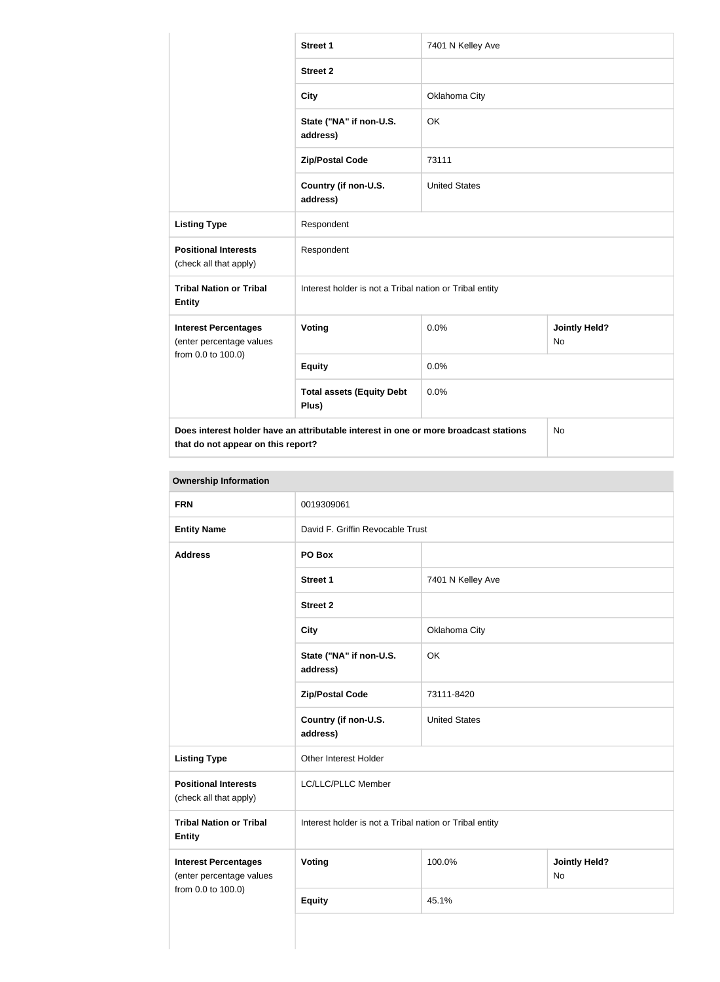|                                                         | <b>Street 1</b>                                                                      | 7401 N Kelley Ave    |                            |
|---------------------------------------------------------|--------------------------------------------------------------------------------------|----------------------|----------------------------|
|                                                         | <b>Street 2</b>                                                                      |                      |                            |
|                                                         | <b>City</b>                                                                          | Oklahoma City        |                            |
|                                                         | State ("NA" if non-U.S.<br>address)                                                  | OK                   |                            |
|                                                         | <b>Zip/Postal Code</b>                                                               | 73111                |                            |
|                                                         | Country (if non-U.S.<br>address)                                                     | <b>United States</b> |                            |
| <b>Listing Type</b>                                     | Respondent                                                                           |                      |                            |
| <b>Positional Interests</b><br>(check all that apply)   | Respondent                                                                           |                      |                            |
| <b>Tribal Nation or Tribal</b><br><b>Entity</b>         | Interest holder is not a Tribal nation or Tribal entity                              |                      |                            |
| <b>Interest Percentages</b><br>(enter percentage values | Voting                                                                               | 0.0%                 | <b>Jointly Held?</b><br>No |
| from 0.0 to 100.0)                                      | <b>Equity</b>                                                                        | 0.0%                 |                            |
|                                                         | <b>Total assets (Equity Debt</b><br>Plus)                                            | 0.0%                 |                            |
| that do not appear on this report?                      | Does interest holder have an attributable interest in one or more broadcast stations |                      | <b>No</b>                  |

| <b>Ownership Information</b> |
|------------------------------|
|------------------------------|

| UWIIGI JIIIN IIIIUI IIIUUUII                                                  |                                                         |                      |                            |  |
|-------------------------------------------------------------------------------|---------------------------------------------------------|----------------------|----------------------------|--|
| <b>FRN</b>                                                                    | 0019309061                                              |                      |                            |  |
| <b>Entity Name</b>                                                            | David F. Griffin Revocable Trust                        |                      |                            |  |
| <b>Address</b>                                                                | PO Box                                                  |                      |                            |  |
|                                                                               | <b>Street 1</b>                                         | 7401 N Kelley Ave    |                            |  |
|                                                                               | <b>Street 2</b>                                         |                      |                            |  |
|                                                                               | <b>City</b>                                             | Oklahoma City        |                            |  |
|                                                                               | State ("NA" if non-U.S.<br>address)                     | <b>OK</b>            |                            |  |
|                                                                               | <b>Zip/Postal Code</b>                                  | 73111-8420           |                            |  |
|                                                                               | Country (if non-U.S.<br>address)                        | <b>United States</b> |                            |  |
| <b>Listing Type</b>                                                           | Other Interest Holder                                   |                      |                            |  |
| <b>Positional Interests</b><br>(check all that apply)                         | LC/LLC/PLLC Member                                      |                      |                            |  |
| <b>Tribal Nation or Tribal</b><br><b>Entity</b>                               | Interest holder is not a Tribal nation or Tribal entity |                      |                            |  |
| <b>Interest Percentages</b><br>(enter percentage values<br>from 0.0 to 100.0) | Voting                                                  | 100.0%               | <b>Jointly Held?</b><br>No |  |
|                                                                               | <b>Equity</b>                                           | 45.1%                |                            |  |
|                                                                               |                                                         |                      |                            |  |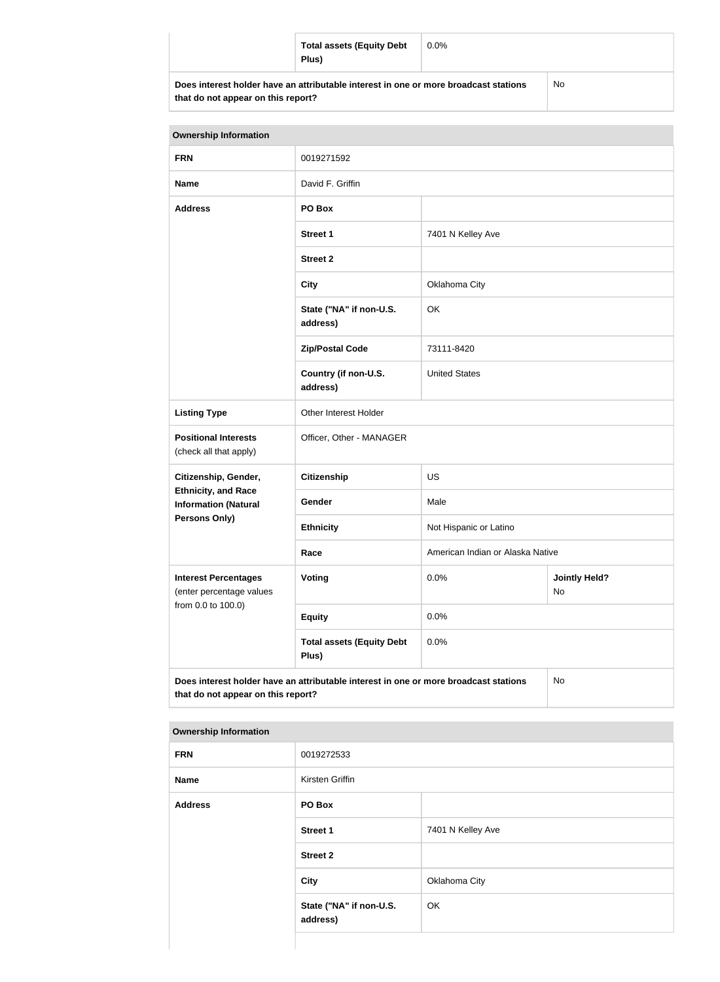|                                                                                      | <b>Total assets (Equity Debt</b><br>Plus) | $0.0\%$ |  |
|--------------------------------------------------------------------------------------|-------------------------------------------|---------|--|
| Does interest holder have an attributable interest in one or more broadcast stations |                                           | No.     |  |

| <b>Ownership Information</b>                                                  |                                                                                      |                                  |                            |  |
|-------------------------------------------------------------------------------|--------------------------------------------------------------------------------------|----------------------------------|----------------------------|--|
| <b>FRN</b>                                                                    | 0019271592                                                                           |                                  |                            |  |
| <b>Name</b>                                                                   | David F. Griffin                                                                     |                                  |                            |  |
| <b>Address</b>                                                                | PO Box                                                                               |                                  |                            |  |
|                                                                               | <b>Street 1</b>                                                                      | 7401 N Kelley Ave                |                            |  |
|                                                                               | <b>Street 2</b>                                                                      |                                  |                            |  |
|                                                                               | <b>City</b>                                                                          | Oklahoma City                    |                            |  |
|                                                                               | State ("NA" if non-U.S.<br>address)                                                  | OK                               |                            |  |
|                                                                               | <b>Zip/Postal Code</b>                                                               | 73111-8420                       |                            |  |
|                                                                               | Country (if non-U.S.<br>address)                                                     | <b>United States</b>             |                            |  |
| <b>Listing Type</b>                                                           | Other Interest Holder                                                                |                                  |                            |  |
| <b>Positional Interests</b><br>(check all that apply)                         | Officer, Other - MANAGER                                                             |                                  |                            |  |
| Citizenship, Gender,                                                          | <b>Citizenship</b>                                                                   | US                               |                            |  |
| <b>Ethnicity, and Race</b><br><b>Information (Natural</b>                     | Gender                                                                               | Male                             |                            |  |
| <b>Persons Only)</b>                                                          | <b>Ethnicity</b>                                                                     | Not Hispanic or Latino           |                            |  |
|                                                                               | Race                                                                                 | American Indian or Alaska Native |                            |  |
| <b>Interest Percentages</b><br>(enter percentage values<br>from 0.0 to 100.0) | Voting                                                                               | 0.0%                             | <b>Jointly Held?</b><br>No |  |
|                                                                               | <b>Equity</b>                                                                        | 0.0%                             |                            |  |
|                                                                               | <b>Total assets (Equity Debt</b><br>Plus)                                            | 0.0%                             |                            |  |
|                                                                               | Does interest holder have an attributable interest in one or more broadcast stations |                                  | No                         |  |

| <b>Ownership Information</b> |  |
|------------------------------|--|
|------------------------------|--|

**that do not appear on this report?**

| <b>FRN</b>     | 0019272533                          |                   |
|----------------|-------------------------------------|-------------------|
| <b>Name</b>    | Kirsten Griffin                     |                   |
| <b>Address</b> | PO Box                              |                   |
|                | <b>Street 1</b>                     | 7401 N Kelley Ave |
|                | <b>Street 2</b>                     |                   |
|                | City                                | Oklahoma City     |
|                | State ("NA" if non-U.S.<br>address) | OK                |
|                |                                     |                   |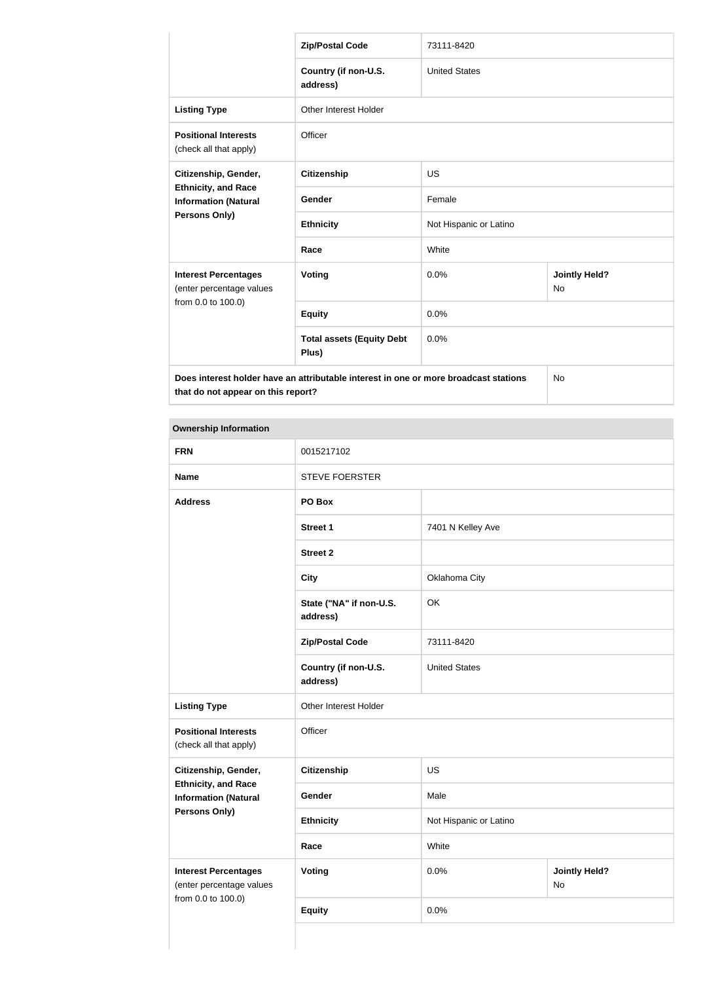|                                                                                      | <b>Zip/Postal Code</b>                    | 73111-8420             |                                   |  |
|--------------------------------------------------------------------------------------|-------------------------------------------|------------------------|-----------------------------------|--|
|                                                                                      | Country (if non-U.S.<br>address)          | <b>United States</b>   |                                   |  |
| <b>Listing Type</b>                                                                  | Other Interest Holder                     |                        |                                   |  |
| <b>Positional Interests</b><br>(check all that apply)                                | Officer                                   |                        |                                   |  |
| Citizenship, Gender,                                                                 | <b>Citizenship</b>                        | <b>US</b>              |                                   |  |
| <b>Ethnicity, and Race</b><br><b>Information (Natural</b>                            | Gender                                    | Female                 |                                   |  |
| <b>Persons Only)</b>                                                                 | <b>Ethnicity</b>                          | Not Hispanic or Latino |                                   |  |
|                                                                                      | Race                                      | White                  |                                   |  |
| <b>Interest Percentages</b><br>(enter percentage values<br>from 0.0 to 100.0)        | Voting                                    | 0.0%                   | <b>Jointly Held?</b><br><b>No</b> |  |
|                                                                                      | <b>Equity</b>                             | 0.0%                   |                                   |  |
|                                                                                      | <b>Total assets (Equity Debt</b><br>Plus) | 0.0%                   |                                   |  |
| Does interest holder have an attributable interest in one or more broadcast stations |                                           | <b>No</b>              |                                   |  |

**that do not appear on this report?**

**Ownership Information FRN** 0015217102 Name STEVE FOERSTER **Address PO Box Street 1** 7401 N Kelley Ave **Street 2 City** Oklahoma City **State ("NA" if non-U.S. address)** OK **Zip/Postal Code** 73111-8420 **Country (if non-U.S. address)** United States **Listing Type Other Interest Holder Positional Interests** (check all that apply) **Officer Citizenship, Gender, Ethnicity, and Race Information (Natural Persons Only) Citizenship** US Gender Male **Ethnicity** Not Hispanic or Latino **Race** White **Interest Percentages** (enter percentage values from 0.0 to 100.0) **Voting Voting Definitive of**  $\begin{array}{c} 0.0\% \\ 0.0\% \end{array}$  **<b>Jointly Held?** No **Equity** 0.0%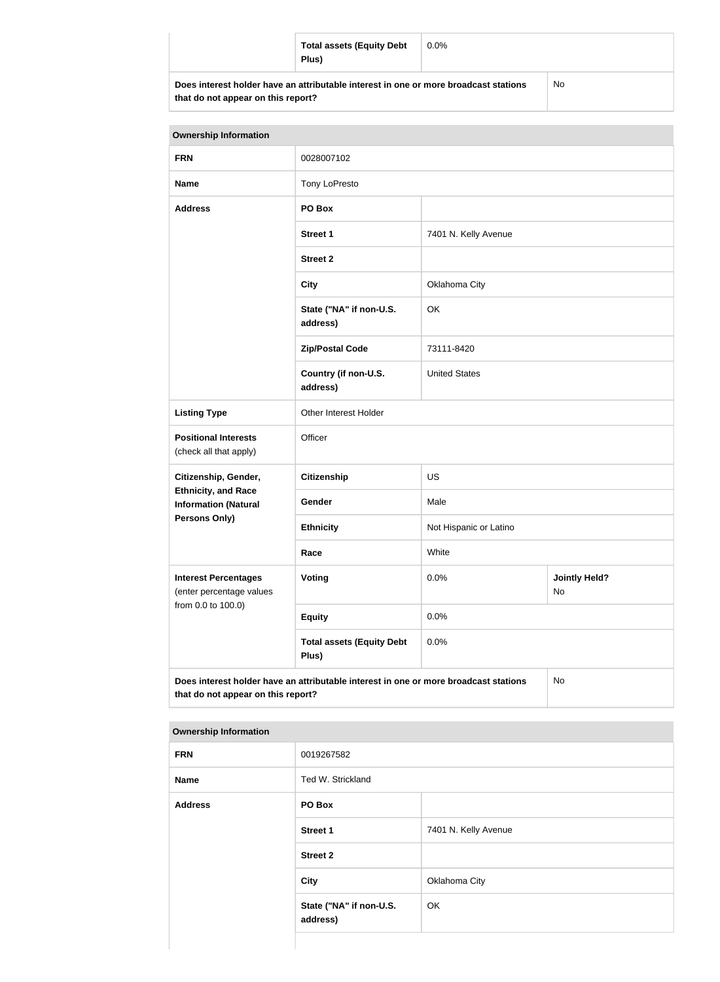| <b>Total assets (Equity Debt</b><br>Plus)                                            | $0.0\%$ |           |
|--------------------------------------------------------------------------------------|---------|-----------|
| Does interest holder have an attributable interest in one or more broadcast stations |         | <b>No</b> |

**that do not appear on this report?**

| <b>Ownership Information</b>                                                                                                     |                                           |                        |                            |  |
|----------------------------------------------------------------------------------------------------------------------------------|-------------------------------------------|------------------------|----------------------------|--|
| <b>FRN</b>                                                                                                                       | 0028007102                                |                        |                            |  |
| <b>Name</b>                                                                                                                      | Tony LoPresto                             |                        |                            |  |
| <b>Address</b>                                                                                                                   | PO Box                                    |                        |                            |  |
|                                                                                                                                  | <b>Street 1</b>                           | 7401 N. Kelly Avenue   |                            |  |
|                                                                                                                                  | <b>Street 2</b>                           |                        |                            |  |
|                                                                                                                                  | <b>City</b>                               | Oklahoma City          |                            |  |
|                                                                                                                                  | State ("NA" if non-U.S.<br>address)       | OK                     |                            |  |
|                                                                                                                                  | <b>Zip/Postal Code</b>                    | 73111-8420             |                            |  |
|                                                                                                                                  | Country (if non-U.S.<br>address)          | <b>United States</b>   |                            |  |
| <b>Listing Type</b>                                                                                                              | Other Interest Holder                     |                        |                            |  |
| <b>Positional Interests</b><br>(check all that apply)                                                                            | Officer                                   |                        |                            |  |
| Citizenship, Gender,                                                                                                             | <b>Citizenship</b>                        | <b>US</b>              |                            |  |
| <b>Ethnicity, and Race</b><br><b>Information (Natural</b>                                                                        | Gender                                    | Male                   |                            |  |
| <b>Persons Only)</b>                                                                                                             | <b>Ethnicity</b>                          | Not Hispanic or Latino |                            |  |
|                                                                                                                                  | Race                                      | White                  |                            |  |
| <b>Interest Percentages</b><br>(enter percentage values                                                                          | <b>Voting</b>                             | 0.0%                   | <b>Jointly Held?</b><br>No |  |
| from 0.0 to 100.0)                                                                                                               | <b>Equity</b>                             | 0.0%                   |                            |  |
|                                                                                                                                  | <b>Total assets (Equity Debt</b><br>Plus) | 0.0%                   |                            |  |
| Does interest holder have an attributable interest in one or more broadcast stations<br>No<br>that do not appear on this report? |                                           |                        |                            |  |

| <b>FRN</b>     | 0019267582                          |                      |
|----------------|-------------------------------------|----------------------|
| Name           | Ted W. Strickland                   |                      |
| <b>Address</b> | PO Box                              |                      |
|                | Street 1                            | 7401 N. Kelly Avenue |
|                | <b>Street 2</b>                     |                      |
|                | City                                | Oklahoma City        |
|                | State ("NA" if non-U.S.<br>address) | OK                   |
|                |                                     |                      |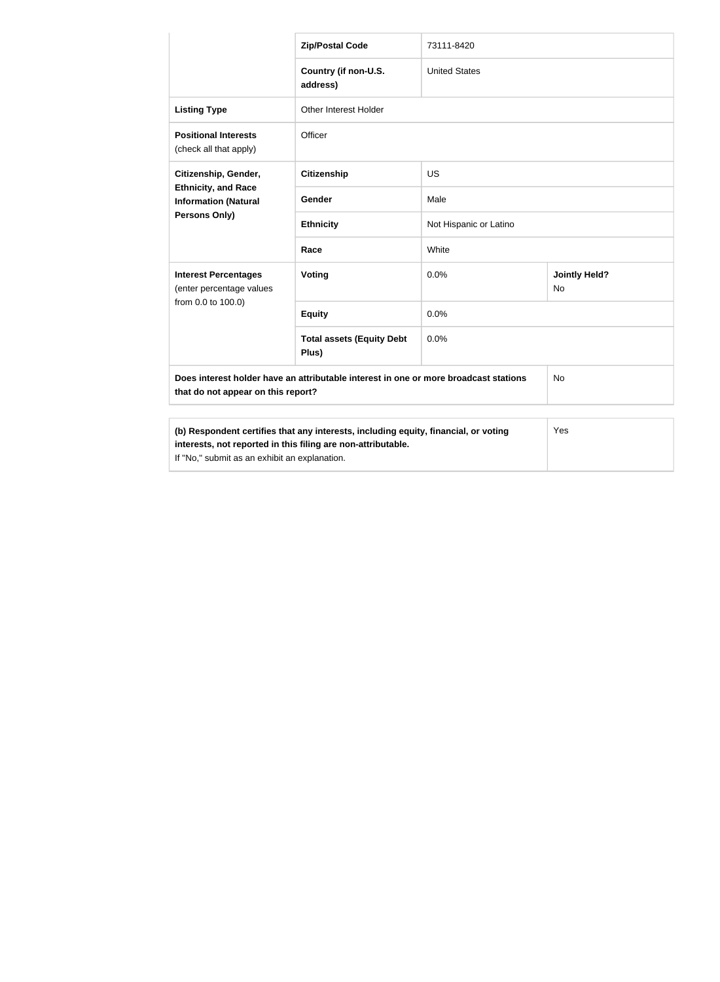|                                                                                                                            | <b>Zip/Postal Code</b>                    | 73111-8420             |                                   |
|----------------------------------------------------------------------------------------------------------------------------|-------------------------------------------|------------------------|-----------------------------------|
|                                                                                                                            | Country (if non-U.S.<br>address)          | <b>United States</b>   |                                   |
| <b>Listing Type</b>                                                                                                        | Other Interest Holder                     |                        |                                   |
| <b>Positional Interests</b><br>(check all that apply)                                                                      | Officer                                   |                        |                                   |
| Citizenship, Gender,                                                                                                       | <b>Citizenship</b>                        | <b>US</b>              |                                   |
| <b>Ethnicity, and Race</b><br><b>Information (Natural</b>                                                                  | Gender                                    | Male                   |                                   |
| <b>Persons Only)</b>                                                                                                       | <b>Ethnicity</b>                          | Not Hispanic or Latino |                                   |
|                                                                                                                            | Race                                      | White                  |                                   |
| <b>Interest Percentages</b><br>(enter percentage values                                                                    | Voting                                    | 0.0%                   | <b>Jointly Held?</b><br><b>No</b> |
| from 0.0 to 100.0)                                                                                                         | <b>Equity</b>                             | 0.0%                   |                                   |
|                                                                                                                            | <b>Total assets (Equity Debt</b><br>Plus) | 0.0%                   |                                   |
| Does interest holder have an attributable interest in one or more broadcast stations<br>that do not appear on this report? |                                           | No                     |                                   |
| (b) Respondent certifies that any interests, including equity, financial, or voting<br>Yes                                 |                                           |                        |                                   |
| interests, not reported in this filing are non-attributable.                                                               |                                           |                        |                                   |

If "No," submit as an exhibit an explanation.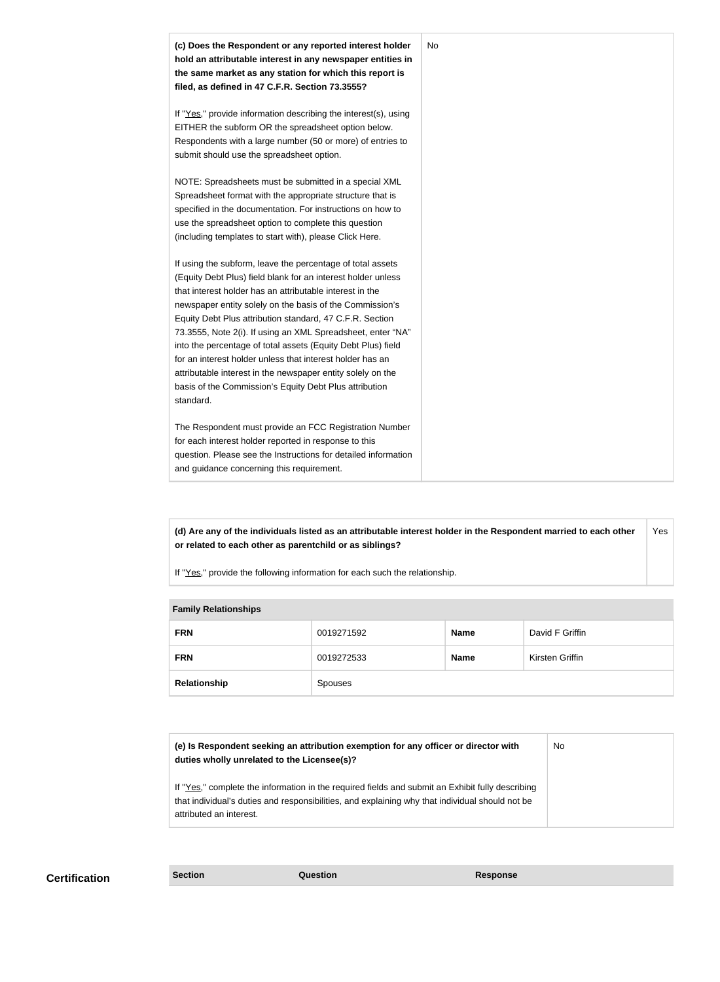

**(d) Are any of the individuals listed as an attributable interest holder in the Respondent married to each other or related to each other as parentchild or as siblings?** Yes

If "Yes," provide the following information for each such the relationship.

#### **Family Relationships**

| .            |            |             |                 |  |
|--------------|------------|-------------|-----------------|--|
| <b>FRN</b>   | 0019271592 | Name        | David F Griffin |  |
| <b>FRN</b>   | 0019272533 | <b>Name</b> | Kirsten Griffin |  |
| Relationship | Spouses    |             |                 |  |

| (e) Is Respondent seeking an attribution exemption for any officer or director with<br>duties wholly unrelated to the Licensee(s)?                                                                                             | No |
|--------------------------------------------------------------------------------------------------------------------------------------------------------------------------------------------------------------------------------|----|
| If "Yes," complete the information in the required fields and submit an Exhibit fully describing<br>that individual's duties and responsibilities, and explaining why that individual should not be<br>attributed an interest. |    |